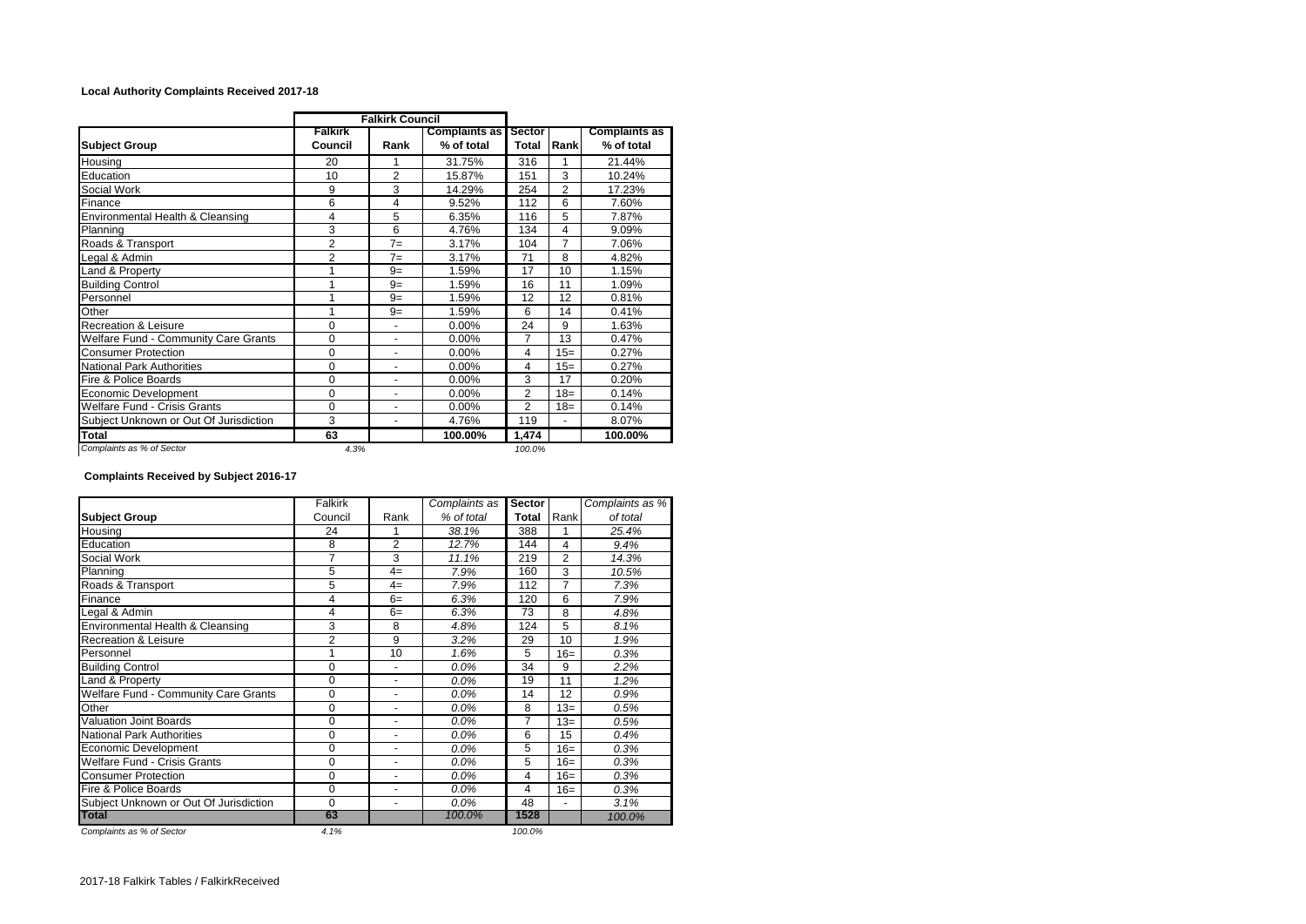## **Local Authority Complaints Received 2017-18**

|                                        | <b>Falkirk Council</b>    |                          |                             |                 |                |                                    |  |
|----------------------------------------|---------------------------|--------------------------|-----------------------------|-----------------|----------------|------------------------------------|--|
| <b>Subject Group</b>                   | <b>Falkirk</b><br>Council | Rank                     | Complaints as<br>% of total | Sector<br>Total | Rank           | <b>Complaints as</b><br>% of total |  |
| Housing                                | 20                        |                          | 31.75%                      | 316             |                | 21.44%                             |  |
| Education                              | 10                        | $\overline{2}$           | 15.87%                      | 151             | 3              | 10.24%                             |  |
| Social Work                            | 9                         | 3                        | 14.29%                      | 254             | $\overline{2}$ | 17.23%                             |  |
| Finance                                | 6                         | 4                        | 9.52%                       | 112             | 6              | 7.60%                              |  |
| Environmental Health & Cleansing       | 4                         | 5                        | 6.35%                       | 116             | 5              | 7.87%                              |  |
| Planning                               | 3                         | 6                        | 4.76%                       | 134             | 4              | 9.09%                              |  |
| Roads & Transport                      | $\overline{2}$            | $7 =$                    | 3.17%                       | 104             | 7              | 7.06%                              |  |
| Legal & Admin                          | $\overline{2}$            | $7 =$                    | 3.17%                       | 71              | 8              | 4.82%                              |  |
| Land & Property                        | 1                         | $9=$                     | 1.59%                       | 17              | 10             | 1.15%                              |  |
| <b>Building Control</b>                | 1                         | $9 =$                    | 1.59%                       | 16              | 11             | 1.09%                              |  |
| Personnel                              | 1                         | $9 =$                    | 1.59%                       | 12              | 12             | 0.81%                              |  |
| Other                                  | 1                         | $9=$                     | 1.59%                       | 6               | 14             | 0.41%                              |  |
| Recreation & Leisure                   | 0                         | ۰                        | 0.00%                       | 24              | 9              | 1.63%                              |  |
| Welfare Fund - Community Care Grants   | 0                         | ٠                        | 0.00%                       | 7               | 13             | 0.47%                              |  |
| <b>Consumer Protection</b>             | 0                         | $\overline{\phantom{a}}$ | 0.00%                       | 4               | $15=$          | 0.27%                              |  |
| <b>National Park Authorities</b>       | 0                         | ۰                        | $0.00\%$                    | $\overline{4}$  | $15=$          | 0.27%                              |  |
| Fire & Police Boards                   | 0                         | ۰                        | 0.00%                       | 3               | 17             | 0.20%                              |  |
| Economic Development                   | 0                         | ۰                        | $0.00\%$                    | $\overline{2}$  | $18=$          | 0.14%                              |  |
| Welfare Fund - Crisis Grants           | 0                         |                          | 0.00%                       | $\overline{2}$  | $18=$          | 0.14%                              |  |
| Subject Unknown or Out Of Jurisdiction | 3                         | ۰                        | 4.76%                       | 119             |                | 8.07%                              |  |
| <b>Total</b>                           | 63                        |                          | 100.00%                     | 1,474           |                | 100.00%                            |  |
| Complaints as % of Sector              | 4.3%                      |                          |                             | 100.0%          |                |                                    |  |

## **Complaints Received by Subject 2016-17**

|                                        | Falkirk        |                | Complaints as | Sector |                | Complaints as % |
|----------------------------------------|----------------|----------------|---------------|--------|----------------|-----------------|
| <b>Subject Group</b>                   | Council        | Rank           | % of total    | Total  | Rank           | of total        |
| Housing                                | 24             |                | 38.1%         | 388    |                | 25.4%           |
| Education                              | 8              | $\overline{2}$ | 12.7%         | 144    | 4              | 9.4%            |
| Social Work                            | 7              | 3              | 11.1%         | 219    | $\overline{2}$ | 14.3%           |
| Planning                               | 5              | $4=$           | 7.9%          | 160    | 3              | 10.5%           |
| Roads & Transport                      | 5              | $4=$           | 7.9%          | 112    | 7              | 7.3%            |
| Finance                                | 4              | $6=$           | 6.3%          | 120    | 6              | 7.9%            |
| Legal & Admin                          | 4              | $6=$           | 6.3%          | 73     | 8              | 4.8%            |
| Environmental Health & Cleansing       | 3              | 8              | 4.8%          | 124    | 5              | 8.1%            |
| <b>Recreation &amp; Leisure</b>        | $\overline{2}$ | 9              | 3.2%          | 29     | 10             | 1.9%            |
| Personnel                              |                | 10             | 1.6%          | 5      | $16=$          | 0.3%            |
| <b>Building Control</b>                | 0              |                | 0.0%          | 34     | 9              | 2.2%            |
| Land & Property                        | 0              | ٠              | $0.0\%$       | 19     | 11             | 1.2%            |
| Welfare Fund - Community Care Grants   | 0              | ٠              | 0.0%          | 14     | 12             | 0.9%            |
| Other                                  | 0              | ۰              | 0.0%          | 8      | $13=$          | 0.5%            |
| <b>Valuation Joint Boards</b>          | 0              | $\blacksquare$ | 0.0%          | 7      | $13=$          | 0.5%            |
| National Park Authorities              | $\Omega$       | ۰              | 0.0%          | 6      | 15             | 0.4%            |
| Economic Development                   | 0              | ۰              | 0.0%          | 5      | $16=$          | 0.3%            |
| <b>Welfare Fund - Crisis Grants</b>    | 0              | ۰              | 0.0%          | 5      | $16=$          | 0.3%            |
| <b>Consumer Protection</b>             | 0              | ٠              | 0.0%          | 4      | $16=$          | 0.3%            |
| Fire & Police Boards                   | 0              | ٠              | $0.0\%$       | 4      | $16=$          | 0.3%            |
| Subject Unknown or Out Of Jurisdiction | 0              | ۰              | $0.0\%$       | 48     | ٠              | 3.1%            |
| <b>Total</b>                           | 63             |                | 100.0%        | 1528   |                | 100.0%          |
| Complaints as % of Sector              | 4.1%           |                |               | 100.0% |                |                 |